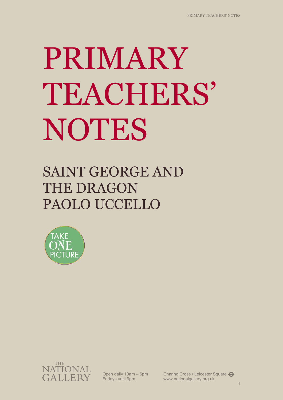# PRIMARY TEACHERS' NOTES

# SAINT GEORGE AND THE DRAGON PAOLO UCCELLO





Open daily 10am – 6pm Fridays until 9pm

Charing Cross / Leicester Square www.nationalgallery.org.uk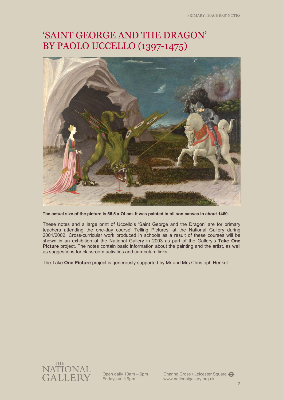# 'SAINT GEORGE AND THE DRAGON' BY PAOLO UCCELLO (1397-1475)



**The actual size of the picture is 56.5 x 74 cm. It was painted in oil son canvas in about 1460.** 

These notes and a large print of Uccello's 'Saint George and the Dragon' are for primary teachers attending the one-day course' Telling Pictures' at the National Gallery during 2001/2002. Cross-curricular work produced in schools as a result of these courses will be shown in an exhibition at the National Gallery in 2003 as part of the Gallery's **Take One Picture** project. The notes contain basic information about the painting and the artist, as well as suggestions for classroom activities and curriculum links.

The Take **One Picture** project is generously supported by Mr and Mrs Christoph Henkel.



Open daily 10am – 6pm Fridays until 9pm

Charing Cross / Leicester Square www.nationalgallery.org.uk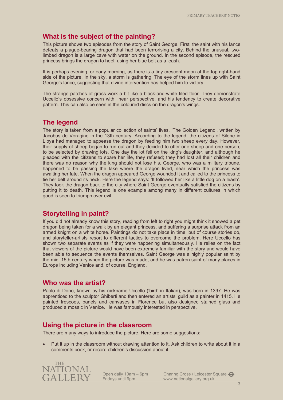# **What is the subject of the painting?**

This picture shows two episodes from the story of Saint George. First, the saint with his lance defeats a plague-bearing dragon that had been terrorising a city. Behind the unusual, twolimbed dragon is a large cave with water on the ground. In the second episode, the rescued princess brings the dragon to heel, using her blue belt as a leash.

It is perhaps evening, or early morning, as there is a tiny crescent moon at the top right-hand side of the picture. In the sky, a storm is gathering. The eye of the storm lines up with Saint George's lance, suggesting that divine intervention has helped him to victory.

The strange patches of grass work a bit like a black-and-white tiled floor. They demonstrate Uccello's obsessive concern with linear perspective, and his tendency to create decorative pattern. This can also be seen in the coloured discs on the dragon's wings.

# **The legend**

The story is taken from a popular collection of saints' lives, 'The Golden Legend', written by Jacobus de Voragine in the 13th century. According to the legend, the citizens of Silene in Libya had managed to appease the dragon by feeding him two sheep every day. However, their supply of sheep began to run out and they decided to offer one sheep and one person, to be selected by drawing lots. One day the lot fell on the king's daughter, and although he pleaded with the citizens to spare her life, they refused; they had lost all their children and there was no reason why the king should not lose his. George, who was a military tribune, happened to be passing the lake where the dragon lived, near which the princess was awaiting her fate. When the dragon appeared George wounded it and called to the princess to tie her belt around its neck. Here the legend says: 'It followed her like a little dog on a leash'. They took the dragon back to the city where Saint George eventually satisfied the citizens by putting it to death. This legend is one example among many in different cultures in which good is seen to triumph over evil.

# **Storytelling in paint?**

If you did not already know this story, reading from left to right you might think it showed a pet dragon being taken for a walk by an elegant princess, and suffering a surprise attack from an armed knight on a white horse. Paintings do not take place in time, but of course stories do, and storyteller-artists resort to different tactics to overcome the problem. Here Uccello has shown two separate events as if they were happening simultaneously. He relies on the fact that viewers of the picture would have been extremely familiar with the story and would have been able to sequence the events themselves. Saint George was a highly popular saint by the mid–15th century when the picture was made, and he was patron saint of many places in Europe including Venice and, of course, England.

# **Who was the artist?**

Paolo di Dono, known by his nickname Uccello ('bird' in Italian), was born in 1397. He was apprenticed to the sculptor Ghiberti and then entered an artists' guild as a painter in 1415. He painted frescoes, panels and canvases in Florence but also designed stained glass and produced a mosaic in Venice. He was famously interested in perspective.

# **Using the picture in the classroom**

There are many ways to introduce the picture. Here are some suggestions:

• Put it up in the classroom without drawing attention to it. Ask children to write about it in a comments book, or record children's discussion about it.



Open daily 10am – 6pm Fridays until 9pm

Charing Cross / Leicester Square www.nationalgallery.org.uk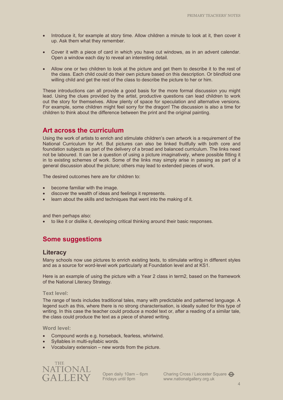- Introduce it, for example at story time. Allow children a minute to look at it, then cover it up. Ask them what they remember.
- Cover it with a piece of card in which you have cut windows, as in an advent calendar. Open a window each day to reveal an interesting detail.
- Allow one or two children to look at the picture and get them to describe it to the rest of the class. Each child could do their own picture based on this description. Or blindfold one willing child and get the rest of the class to describe the picture to her or him.

These introductions can all provide a good basis for the more formal discussion you might lead. Using the clues provided by the artist, productive questions can lead children to work out the story for themselves. Allow plenty of space for speculation and alternative versions. For example, some children might feel sorry for the dragon! The discussion is also a time for children to think about the difference between the print and the original painting.

# **Art across the curriculum**

Using the work of artists to enrich and stimulate children's own artwork is a requirement of the National Curriculum for Art. But pictures can also be linked fruitfully with both core and foundation subjects as part of the delivery of a broad and balanced curriculum. The links need not be laboured. It can be a question of using a picture imaginatively, where possible fitting it in to existing schemes of work. Some of the links may simply arise in passing as part of a general discussion about the picture; others may lead to extended pieces of work.

The desired outcomes here are for children to:

- become familiar with the image.
- discover the wealth of ideas and feelings it represents.
- learn about the skills and techniques that went into the making of it.

and then perhaps also:

to like it or dislike it, developing critical thinking around their basic responses.

# **Some suggestions**

#### **Literacy**

Many schools now use pictures to enrich existing texts, to stimulate writing in different styles and as a source for word-level work particularly at Foundation level and at KS1.

Here is an example of using the picture with a Year 2 class in term2, based on the framework of the National Literacy Strategy.

#### **Text level:**

The range of texts includes traditional tales, many with predictable and patterned language. A legend such as this, where there is no strong characterisation, is ideally suited for this type of writing. In this case the teacher could produce a model text or, after a reading of a similar tale, the class could produce the text as a piece of shared writing.

**Word level:** 

- Compound words e.g. horseback, fearless, whirlwind.
- Syllables in multi-syllabic words.
- Vocabulary extension new words from the picture.



Open daily 10am – 6pm Fridays until 9pm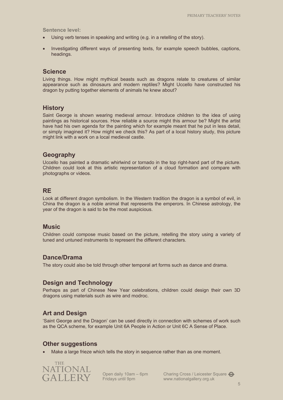**Sentence level:** 

- Using verb tenses in speaking and writing (e.g. in a retelling of the story).
- Investigating different ways of presenting texts, for example speech bubbles, captions, headings.

# **Science**

Living things. How might mythical beasts such as dragons relate to creatures of similar appearance such as dinosaurs and modern reptiles? Might Uccello have constructed his dragon by putting together elements of animals he knew about?

# **History**

Saint George is shown wearing medieval armour. Introduce children to the idea of using paintings as historical sources. How reliable a source might this armour be? Might the artist have had his own agenda for the painting which for example meant that he put in less detail, or simply imagined it? How might we check this? As part of a local history study, this picture might link with a work on a local medieval castle.

# **Geography**

Uccello has painted a dramatic whirlwind or tornado in the top right-hand part of the picture. Children could look at this artistic representation of a cloud formation and compare with photographs or videos.

# **RE**

Look at different dragon symbolism. In the Western tradition the dragon is a symbol of evil, in China the dragon is a noble animal that represents the emperors. In Chinese astrology, the year of the dragon is said to be the most auspicious.

# **Music**

Children could compose music based on the picture, retelling the story using a variety of tuned and untuned instruments to represent the different characters.

# **Dance/Drama**

The story could also be told through other temporal art forms such as dance and drama.

# **Design and Technology**

Perhaps as part of Chinese New Year celebrations, children could design their own 3D dragons using materials such as wire and modroc.

# **Art and Design**

'Saint George and the Dragon' can be used directly in connection with schemes of work such as the QCA scheme, for example Unit 6A People in Action or Unit 6C A Sense of Place.

# **Other suggestions**

Make a large frieze which tells the story in sequence rather than as one moment.



Open daily 10am – 6pm Fridays until 9pm